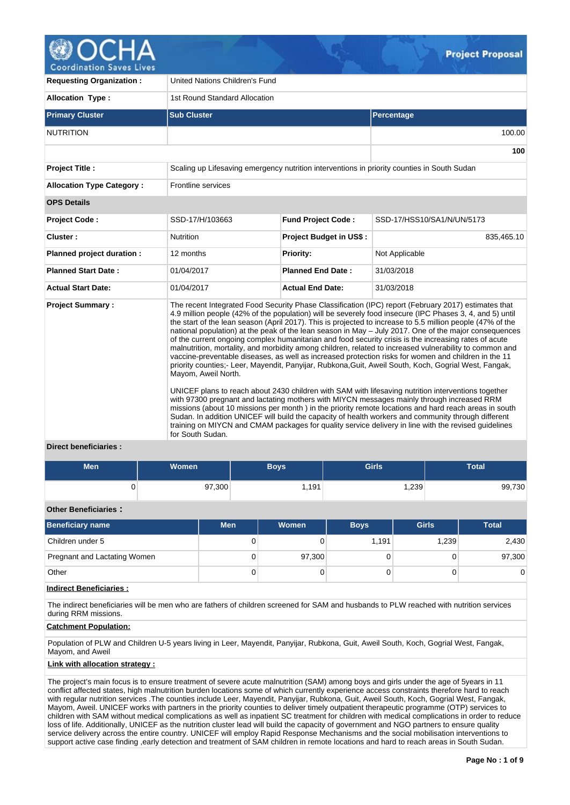

**100**

**Requesting Organization :** United Nations Children's Fund **Allocation Type :** 1st Round Standard Allocation **Primary Cluster Sub Cluster Sub Cluster** Sub Cluster Sub Cluster Sub Cluster Sub Cluster Sub Cluster Sub Cluster NUTRITION 100.00 **Project Title :** Scaling up Lifesaving emergency nutrition interventions in priority counties in South Sudan **Allocation Type Category :** Frontline services **OPS Details Project Code :** SSD-17/H/103663 **Fund Project Code :** SSD-17/HSS10/SA1/N/UN/5173 **Cluster :** 835,465.10 **Nutrition Project Budget in US\$ :** 835,465.10 **Planned project duration :** 12 months **Priority:** Not Applicable **Planned Start Date :** 01/04/2017 **Planned End Date :** 31/03/2018 **Actual Start Date:** 01/04/2017 **Actual End Date:** 31/03/2018

**Project Summary :** The recent Integrated Food Security Phase Classification (IPC) report (February 2017) estimates that 4.9 million people (42% of the population) will be severely food insecure (IPC Phases 3, 4, and 5) until the start of the lean season (April 2017). This is projected to increase to 5.5 million people (47% of the national population) at the peak of the lean season in May – July 2017. One of the major consequences of the current ongoing complex humanitarian and food security crisis is the increasing rates of acute malnutrition, mortality, and morbidity among children, related to increased vulnerability to common and vaccine-preventable diseases, as well as increased protection risks for women and children in the 11 priority counties;- Leer, Mayendit, Panyijar, Rubkona,Guit, Aweil South, Koch, Gogrial West, Fangak, Mayom, Aweil North.

> UNICEF plans to reach about 2430 children with SAM with lifesaving nutrition interventions together with 97300 pregnant and lactating mothers with MIYCN messages mainly through increased RRM missions (about 10 missions per month ) in the priority remote locations and hard reach areas in south Sudan. In addition UNICEF will build the capacity of health workers and community through different training on MIYCN and CMAM packages for quality service delivery in line with the revised guidelines for South Sudan.

# **Direct beneficiaries :**

| <b>Men</b> | Women <sup>1</sup> | <b>Boys</b> | Girls  | <b>Total</b> |
|------------|--------------------|-------------|--------|--------------|
|            | 97,300             | 1,191       | ∫239,، | 99,730       |

## **Other Beneficiaries :**

| Beneficiary name             | <b>Men</b> | <b>Women</b> | <b>Boys</b> | <b>Girls</b> | <b>Total</b> |
|------------------------------|------------|--------------|-------------|--------------|--------------|
| Children under 5             | 0          |              | 1,191       | 1,239        | 2,430        |
| Pregnant and Lactating Women |            | 97,300       |             |              | 97,300       |
| Other                        | 0          |              |             |              | 0            |

### **Indirect Beneficiaries :**

The indirect beneficiaries will be men who are fathers of children screened for SAM and husbands to PLW reached with nutrition services during RRM missions.

### **Catchment Population:**

Population of PLW and Children U-5 years living in Leer, Mayendit, Panyijar, Rubkona, Guit, Aweil South, Koch, Gogrial West, Fangak, Mayom, and Aweil

### **Link with allocation strategy :**

The project's main focus is to ensure treatment of severe acute malnutrition (SAM) among boys and girls under the age of 5years in 11 conflict affected states, high malnutrition burden locations some of which currently experience access constraints therefore hard to reach with regular nutrition services .The counties include Leer, Mayendit, Panyijar, Rubkona, Guit, Aweil South, Koch, Gogrial West, Fangak, Mayom, Aweil. UNICEF works with partners in the priority counties to deliver timely outpatient therapeutic programme (OTP) services to children with SAM without medical complications as well as inpatient SC treatment for children with medical complications in order to reduce loss of life. Additionally, UNICEF as the nutrition cluster lead will build the capacity of government and NGO partners to ensure quality service delivery across the entire country. UNICEF will employ Rapid Response Mechanisms and the social mobilisation interventions to support active case finding ,early detection and treatment of SAM children in remote locations and hard to reach areas in South Sudan.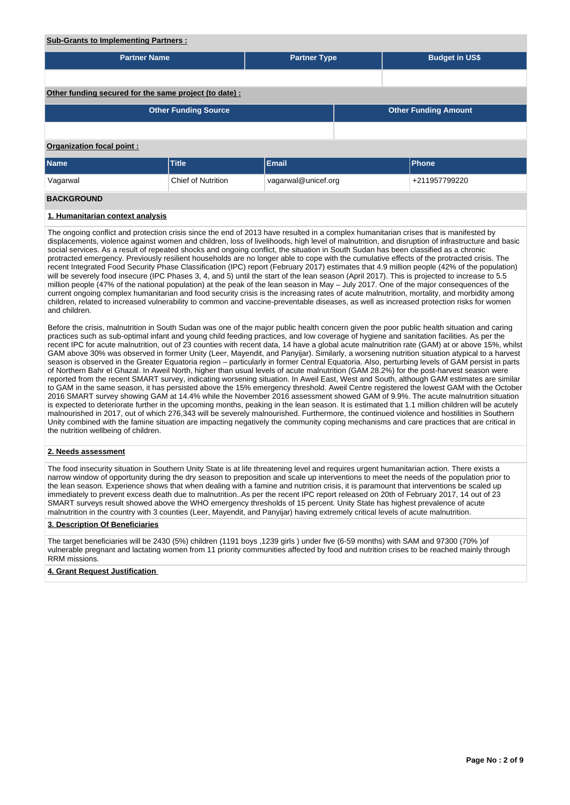## **Sub-Grants to Implementing Partners :**

| <b>Partner Name</b>                                    |                             | <b>Partner Type</b> | <b>Budget in US\$</b>       |
|--------------------------------------------------------|-----------------------------|---------------------|-----------------------------|
|                                                        |                             |                     |                             |
|                                                        |                             |                     |                             |
| Other funding secured for the same project (to date) : |                             |                     |                             |
|                                                        | <b>Other Funding Source</b> |                     | <b>Other Funding Amount</b> |
|                                                        |                             |                     |                             |
| <b>Organization focal point:</b>                       |                             |                     |                             |
| <b>Name</b>                                            | <b>Title</b>                | Email               | <b>Phone</b>                |
| Vagarwal                                               | <b>Chief of Nutrition</b>   | vagarwal@unicef.org | +211957799220               |
| <b>BACKGROUND</b>                                      |                             |                     |                             |
| 1. Humanitarian context analysis                       |                             |                     |                             |

The ongoing conflict and protection crisis since the end of 2013 have resulted in a complex humanitarian crises that is manifested by displacements, violence against women and children, loss of livelihoods, high level of malnutrition, and disruption of infrastructure and basic social services. As a result of repeated shocks and ongoing conflict, the situation in South Sudan has been classified as a chronic protracted emergency. Previously resilient households are no longer able to cope with the cumulative effects of the protracted crisis. The recent Integrated Food Security Phase Classification (IPC) report (February 2017) estimates that 4.9 million people (42% of the population) will be severely food insecure (IPC Phases 3, 4, and 5) until the start of the lean season (April 2017). This is projected to increase to 5.5 million people (47% of the national population) at the peak of the lean season in May – July 2017. One of the major consequences of the current ongoing complex humanitarian and food security crisis is the increasing rates of acute malnutrition, mortality, and morbidity among children, related to increased vulnerability to common and vaccine-preventable diseases, as well as increased protection risks for women and children.

Before the crisis, malnutrition in South Sudan was one of the major public health concern given the poor public health situation and caring practices such as sub-optimal infant and young child feeding practices, and low coverage of hygiene and sanitation facilities. As per the recent IPC for acute malnutrition, out of 23 counties with recent data, 14 have a global acute malnutrition rate (GAM) at or above 15%, whilst GAM above 30% was observed in former Unity (Leer, Mayendit, and Panyijar). Similarly, a worsening nutrition situation atypical to a harvest season is observed in the Greater Equatoria region – particularly in former Central Equatoria. Also, perturbing levels of GAM persist in parts of Northern Bahr el Ghazal. In Aweil North, higher than usual levels of acute malnutrition (GAM 28.2%) for the post-harvest season were reported from the recent SMART survey, indicating worsening situation. In Aweil East, West and South, although GAM estimates are similar to GAM in the same season, it has persisted above the 15% emergency threshold. Aweil Centre registered the lowest GAM with the October 2016 SMART survey showing GAM at 14.4% while the November 2016 assessment showed GAM of 9.9%. The acute malnutrition situation is expected to deteriorate further in the upcoming months, peaking in the lean season. It is estimated that 1.1 million children will be acutely malnourished in 2017, out of which 276,343 will be severely malnourished. Furthermore, the continued violence and hostilities in Southern Unity combined with the famine situation are impacting negatively the community coping mechanisms and care practices that are critical in the nutrition wellbeing of children.

### **2. Needs assessment**

The food insecurity situation in Southern Unity State is at life threatening level and requires urgent humanitarian action. There exists a narrow window of opportunity during the dry season to preposition and scale up interventions to meet the needs of the population prior to the lean season. Experience shows that when dealing with a famine and nutrition crisis, it is paramount that interventions be scaled up immediately to prevent excess death due to malnutrition..As per the recent IPC report released on 20th of February 2017, 14 out of 23 SMART surveys result showed above the WHO emergency thresholds of 15 percent. Unity State has highest prevalence of acute malnutrition in the country with 3 counties (Leer, Mayendit, and Panyijar) having extremely critical levels of acute malnutrition.

### **3. Description Of Beneficiaries**

The target beneficiaries will be 2430 (5%) children (1191 boys ,1239 girls ) under five (6-59 months) with SAM and 97300 (70% )of vulnerable pregnant and lactating women from 11 priority communities affected by food and nutrition crises to be reached mainly through RRM missions.

### **4. Grant Request Justification**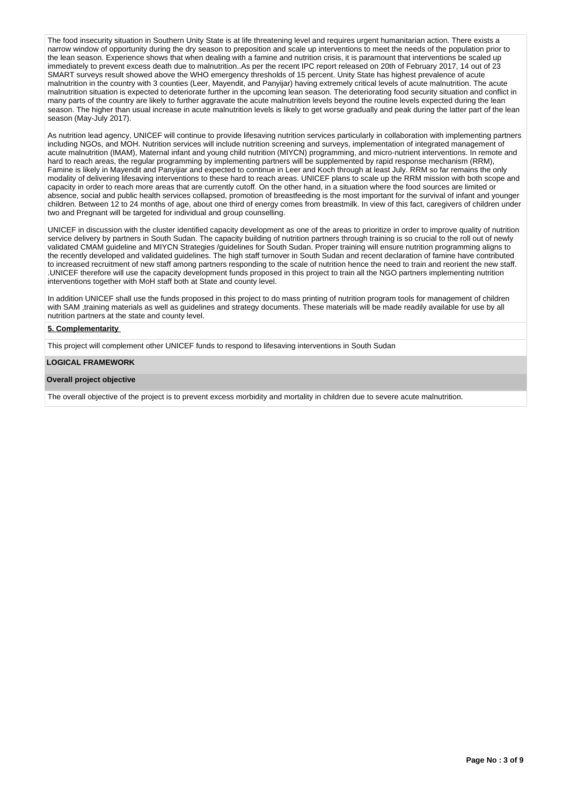The food insecurity situation in Southern Unity State is at life threatening level and requires urgent humanitarian action. There exists a narrow window of opportunity during the dry season to preposition and scale up interventions to meet the needs of the population prior to the lean season. Experience shows that when dealing with a famine and nutrition crisis, it is paramount that interventions be scaled up immediately to prevent excess death due to malnutrition..As per the recent IPC report released on 20th of February 2017, 14 out of 23 SMART surveys result showed above the WHO emergency thresholds of 15 percent. Unity State has highest prevalence of acute malnutrition in the country with 3 counties (Leer, Mayendit, and Panyijar) having extremely critical levels of acute malnutrition. The acute malnutrition situation is expected to deteriorate further in the upcoming lean season. The deteriorating food security situation and conflict in many parts of the country are likely to further aggravate the acute malnutrition levels beyond the routine levels expected during the lean season. The higher than usual increase in acute malnutrition levels is likely to get worse gradually and peak during the latter part of the lean season (Mav-July 2017).

As nutrition lead agency, UNICEF will continue to provide lifesaving nutrition services particularly in collaboration with implementing partners including NGOs, and MOH. Nutrition services will include nutrition screening and surveys, implementation of integrated management of acute malnutrition (IMAM), Maternal infant and young child nutrition (MIYCN) programming, and micro-nutrient interventions. In remote and hard to reach areas, the regular programming by implementing partners will be supplemented by rapid response mechanism (RRM), Famine is likely in Mayendit and Panyijiar and expected to continue in Leer and Koch through at least July. RRM so far remains the only modality of delivering lifesaving interventions to these hard to reach areas. UNICEF plans to scale up the RRM mission with both scope and capacity in order to reach more areas that are currently cutoff. On the other hand, in a situation where the food sources are limited or absence, social and public health services collapsed, promotion of breastfeeding is the most important for the survival of infant and younger children. Between 12 to 24 months of age, about one third of energy comes from breastmilk. In view of this fact, caregivers of children under two and Pregnant will be targeted for individual and group counselling.

UNICEF in discussion with the cluster identified capacity development as one of the areas to prioritize in order to improve quality of nutrition service delivery by partners in South Sudan. The capacity building of nutrition partners through training is so crucial to the roll out of newly validated CMAM guideline and MIYCN Strategies /guidelines for South Sudan. Proper training will ensure nutrition programming aligns to the recently developed and validated guidelines. The high staff turnover in South Sudan and recent declaration of famine have contributed to increased recruitment of new staff among partners responding to the scale of nutrition hence the need to train and reorient the new staff. .UNICEF therefore will use the capacity development funds proposed in this project to train all the NGO partners implementing nutrition interventions together with MoH staff both at State and county level.

In addition UNICEF shall use the funds proposed in this project to do mass printing of nutrition program tools for management of children with SAM ,training materials as well as guidelines and strategy documents. These materials will be made readily available for use by all nutrition partners at the state and county level.

### **5. Complementarity**

This project will complement other UNICEF funds to respond to lifesaving interventions in South Sudan

### **LOGICAL FRAMEWORK**

### **Overall project objective**

The overall objective of the project is to prevent excess morbidity and mortality in children due to severe acute malnutrition.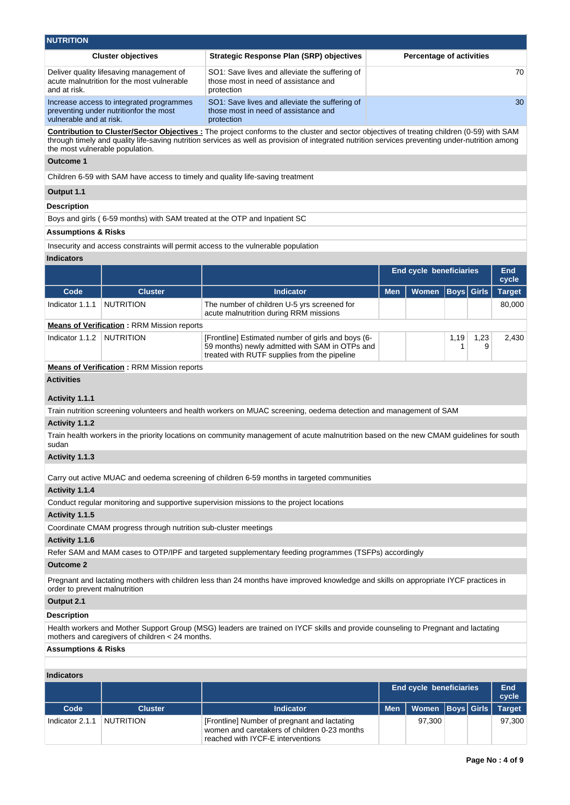| <b>NUTRITION</b>                |                                                                                        |                                                                                                                                                                                                                                                                                                      |            |                                 |                   |           |                     |
|---------------------------------|----------------------------------------------------------------------------------------|------------------------------------------------------------------------------------------------------------------------------------------------------------------------------------------------------------------------------------------------------------------------------------------------------|------------|---------------------------------|-------------------|-----------|---------------------|
|                                 | <b>Cluster objectives</b>                                                              | <b>Strategic Response Plan (SRP) objectives</b>                                                                                                                                                                                                                                                      |            | <b>Percentage of activities</b> |                   |           |                     |
| and at risk.                    | Deliver quality lifesaving management of<br>acute malnutrition for the most vulnerable | SO1: Save lives and alleviate the suffering of<br>those most in need of assistance and<br>protection                                                                                                                                                                                                 |            |                                 |                   |           | 70                  |
| vulnerable and at risk.         | Increase access to integrated programmes<br>preventing under nutritionfor the most     | SO1: Save lives and alleviate the suffering of<br>those most in need of assistance and<br>protection                                                                                                                                                                                                 |            |                                 |                   |           | 30                  |
| the most vulnerable population. |                                                                                        | <b>Contribution to Cluster/Sector Objectives:</b> The project conforms to the cluster and sector objectives of treating children (0-59) with SAM<br>through timely and quality life-saving nutrition services as well as provision of integrated nutrition services preventing under-nutrition among |            |                                 |                   |           |                     |
| <b>Outcome 1</b>                |                                                                                        |                                                                                                                                                                                                                                                                                                      |            |                                 |                   |           |                     |
|                                 |                                                                                        | Children 6-59 with SAM have access to timely and quality life-saving treatment                                                                                                                                                                                                                       |            |                                 |                   |           |                     |
| Output 1.1                      |                                                                                        |                                                                                                                                                                                                                                                                                                      |            |                                 |                   |           |                     |
| <b>Description</b>              |                                                                                        |                                                                                                                                                                                                                                                                                                      |            |                                 |                   |           |                     |
|                                 |                                                                                        | Boys and girls (6-59 months) with SAM treated at the OTP and Inpatient SC                                                                                                                                                                                                                            |            |                                 |                   |           |                     |
| Assumptions & Risks             |                                                                                        |                                                                                                                                                                                                                                                                                                      |            |                                 |                   |           |                     |
|                                 |                                                                                        | Insecurity and access constraints will permit access to the vulnerable population                                                                                                                                                                                                                    |            |                                 |                   |           |                     |
| <b>Indicators</b>               |                                                                                        |                                                                                                                                                                                                                                                                                                      |            |                                 |                   |           |                     |
|                                 |                                                                                        |                                                                                                                                                                                                                                                                                                      |            | <b>End cycle beneficiaries</b>  |                   |           | <b>End</b><br>cycle |
| Code                            | <b>Cluster</b>                                                                         | <b>Indicator</b>                                                                                                                                                                                                                                                                                     | <b>Men</b> | <b>Women</b>                    | <b>Boys</b> Girls |           | <b>Target</b>       |
| Indicator 1.1.1                 | <b>NUTRITION</b>                                                                       | The number of children U-5 yrs screened for<br>acute malnutrition during RRM missions                                                                                                                                                                                                                |            |                                 |                   |           | 80,000              |
|                                 | <b>Means of Verification: RRM Mission reports</b>                                      |                                                                                                                                                                                                                                                                                                      |            |                                 |                   |           |                     |
| Indicator 1.1.2                 | <b>NUTRITION</b>                                                                       | [Frontline] Estimated number of girls and boys (6-<br>59 months) newly admitted with SAM in OTPs and<br>treated with RUTF supplies from the pipeline                                                                                                                                                 |            |                                 | 1,19<br>1         | 1,23<br>9 | 2,430               |
|                                 | <b>Means of Verification: RRM Mission reports</b>                                      |                                                                                                                                                                                                                                                                                                      |            |                                 |                   |           |                     |
| <b>Activities</b>               |                                                                                        |                                                                                                                                                                                                                                                                                                      |            |                                 |                   |           |                     |
| Activity 1.1.1                  |                                                                                        |                                                                                                                                                                                                                                                                                                      |            |                                 |                   |           |                     |
|                                 |                                                                                        | Train nutrition screening volunteers and health workers on MUAC screening, oedema detection and management of SAM                                                                                                                                                                                    |            |                                 |                   |           |                     |
| Activity 1.1.2                  |                                                                                        |                                                                                                                                                                                                                                                                                                      |            |                                 |                   |           |                     |
| sudan                           |                                                                                        | Train health workers in the priority locations on community management of acute malnutrition based on the new CMAM guidelines for south                                                                                                                                                              |            |                                 |                   |           |                     |
| Activity 1.1.3                  |                                                                                        |                                                                                                                                                                                                                                                                                                      |            |                                 |                   |           |                     |
|                                 |                                                                                        | Carry out active MUAC and oedema screening of children 6-59 months in targeted communities                                                                                                                                                                                                           |            |                                 |                   |           |                     |
| Activity 1.1.4                  |                                                                                        |                                                                                                                                                                                                                                                                                                      |            |                                 |                   |           |                     |
|                                 |                                                                                        | Conduct regular monitoring and supportive supervision missions to the project locations                                                                                                                                                                                                              |            |                                 |                   |           |                     |
| Activity 1.1.5                  |                                                                                        |                                                                                                                                                                                                                                                                                                      |            |                                 |                   |           |                     |
|                                 | Coordinate CMAM progress through nutrition sub-cluster meetings                        |                                                                                                                                                                                                                                                                                                      |            |                                 |                   |           |                     |
| Activity 1.1.6                  |                                                                                        |                                                                                                                                                                                                                                                                                                      |            |                                 |                   |           |                     |
| <b>Outcome 2</b>                |                                                                                        | Refer SAM and MAM cases to OTP/IPF and targeted supplementary feeding programmes (TSFPs) accordingly                                                                                                                                                                                                 |            |                                 |                   |           |                     |
| order to prevent malnutrition   |                                                                                        | Pregnant and lactating mothers with children less than 24 months have improved knowledge and skills on appropriate IYCF practices in                                                                                                                                                                 |            |                                 |                   |           |                     |
| Output 2.1                      |                                                                                        |                                                                                                                                                                                                                                                                                                      |            |                                 |                   |           |                     |
| <b>Description</b>              |                                                                                        |                                                                                                                                                                                                                                                                                                      |            |                                 |                   |           |                     |
|                                 | mothers and caregivers of children < 24 months.                                        | Health workers and Mother Support Group (MSG) leaders are trained on IYCF skills and provide counseling to Pregnant and lactating                                                                                                                                                                    |            |                                 |                   |           |                     |
| <b>Assumptions &amp; Risks</b>  |                                                                                        |                                                                                                                                                                                                                                                                                                      |            |                                 |                   |           |                     |
| <b>Indicators</b>               |                                                                                        |                                                                                                                                                                                                                                                                                                      |            |                                 |                   |           |                     |
|                                 |                                                                                        |                                                                                                                                                                                                                                                                                                      |            | <b>End cycle beneficiaries</b>  |                   |           | <b>End</b>          |
|                                 |                                                                                        |                                                                                                                                                                                                                                                                                                      |            |                                 |                   |           | cycle               |
| Code                            | <b>Cluster</b>                                                                         | <b>Indicator</b>                                                                                                                                                                                                                                                                                     | <b>Men</b> | Women                           | <b>Boys</b> Girls |           | <b>Target</b>       |
| Indicator 2.1.1                 | <b>NUTRITION</b>                                                                       | [Frontline] Number of pregnant and lactating<br>women and caretakers of children 0-23 months<br>reached with IYCF-E interventions                                                                                                                                                                    |            | 97,300                          |                   |           | 97,300              |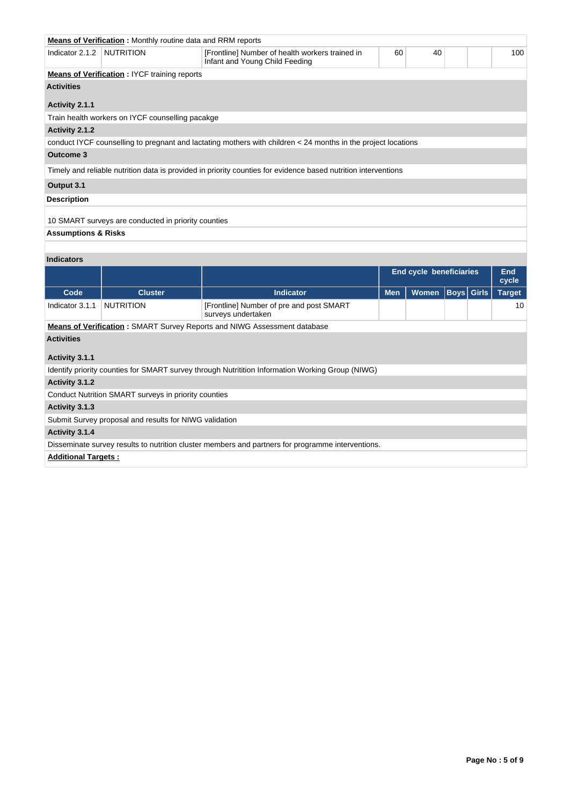|                                | <b>Means of Verification:</b> Monthly routine data and RRM reports                                                |                                                                                                                |  |  |  |  |  |  |  |  |
|--------------------------------|-------------------------------------------------------------------------------------------------------------------|----------------------------------------------------------------------------------------------------------------|--|--|--|--|--|--|--|--|
| Indicator 2.1.2                | NUTRITION<br>60<br>40<br>[Frontline] Number of health workers trained in<br>100<br>Infant and Young Child Feeding |                                                                                                                |  |  |  |  |  |  |  |  |
|                                | <b>Means of Verification: IYCF training reports</b>                                                               |                                                                                                                |  |  |  |  |  |  |  |  |
| <b>Activities</b>              |                                                                                                                   |                                                                                                                |  |  |  |  |  |  |  |  |
| Activity 2.1.1                 |                                                                                                                   |                                                                                                                |  |  |  |  |  |  |  |  |
|                                | Train health workers on IYCF counselling pacakge                                                                  |                                                                                                                |  |  |  |  |  |  |  |  |
| Activity 2.1.2                 |                                                                                                                   |                                                                                                                |  |  |  |  |  |  |  |  |
|                                |                                                                                                                   | conduct IYCF counselling to pregnant and lactating mothers with children < 24 months in the project locations  |  |  |  |  |  |  |  |  |
| <b>Outcome 3</b>               |                                                                                                                   |                                                                                                                |  |  |  |  |  |  |  |  |
|                                |                                                                                                                   | Timely and reliable nutrition data is provided in priority counties for evidence based nutrition interventions |  |  |  |  |  |  |  |  |
| Output 3.1                     |                                                                                                                   |                                                                                                                |  |  |  |  |  |  |  |  |
| <b>Description</b>             |                                                                                                                   |                                                                                                                |  |  |  |  |  |  |  |  |
|                                | 10 SMART surveys are conducted in priority counties                                                               |                                                                                                                |  |  |  |  |  |  |  |  |
| <b>Assumptions &amp; Risks</b> |                                                                                                                   |                                                                                                                |  |  |  |  |  |  |  |  |
|                                |                                                                                                                   |                                                                                                                |  |  |  |  |  |  |  |  |

# **Indicators**

|                                                                                                   |                                                                                 |                                                                                                  | <b>End cycle beneficiaries</b> |       |  | End<br>cycle      |               |  |  |  |
|---------------------------------------------------------------------------------------------------|---------------------------------------------------------------------------------|--------------------------------------------------------------------------------------------------|--------------------------------|-------|--|-------------------|---------------|--|--|--|
| Code                                                                                              | <b>Cluster</b>                                                                  | <b>Indicator</b>                                                                                 | <b>Men</b>                     | Women |  | <b>Boys Girls</b> | <b>Target</b> |  |  |  |
| Indicator 3.1.1                                                                                   | <b>NUTRITION</b>                                                                | [Frontline] Number of pre and post SMART<br>surveys undertaken                                   |                                |       |  |                   | 10            |  |  |  |
|                                                                                                   | <b>Means of Verification:</b> SMART Survey Reports and NIWG Assessment database |                                                                                                  |                                |       |  |                   |               |  |  |  |
| <b>Activities</b>                                                                                 |                                                                                 |                                                                                                  |                                |       |  |                   |               |  |  |  |
| Activity 3.1.1                                                                                    |                                                                                 |                                                                                                  |                                |       |  |                   |               |  |  |  |
|                                                                                                   |                                                                                 | Identify priority counties for SMART survey through Nutritition Information Working Group (NIWG) |                                |       |  |                   |               |  |  |  |
| Activity 3.1.2                                                                                    |                                                                                 |                                                                                                  |                                |       |  |                   |               |  |  |  |
|                                                                                                   | Conduct Nutrition SMART surveys in priority counties                            |                                                                                                  |                                |       |  |                   |               |  |  |  |
| Activity 3.1.3                                                                                    |                                                                                 |                                                                                                  |                                |       |  |                   |               |  |  |  |
|                                                                                                   | Submit Survey proposal and results for NIWG validation                          |                                                                                                  |                                |       |  |                   |               |  |  |  |
| Activity 3.1.4                                                                                    |                                                                                 |                                                                                                  |                                |       |  |                   |               |  |  |  |
| Disseminate survey results to nutrition cluster members and partners for programme interventions. |                                                                                 |                                                                                                  |                                |       |  |                   |               |  |  |  |
|                                                                                                   | <b>Additional Targets:</b>                                                      |                                                                                                  |                                |       |  |                   |               |  |  |  |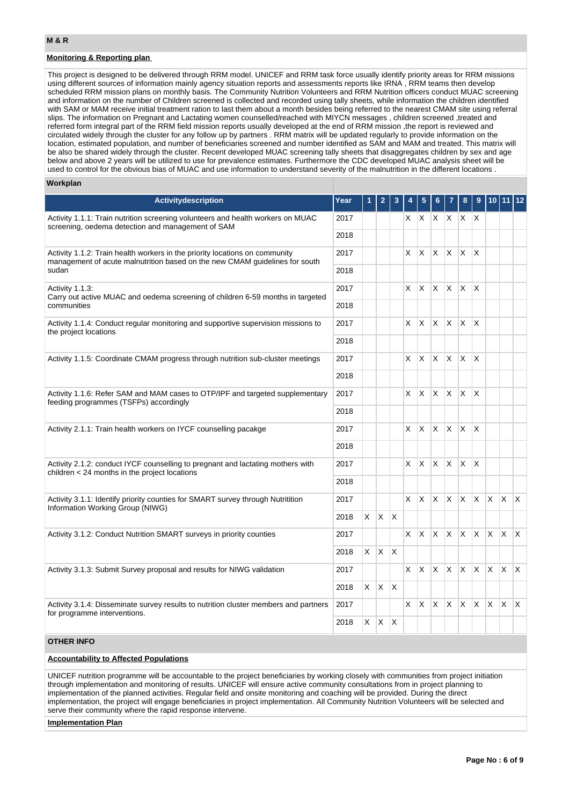## **Monitoring & Reporting plan**

This project is designed to be delivered through RRM model. UNICEF and RRM task force usually identify priority areas for RRM missions using different sources of information mainly agency situation reports and assessments reports like IRNA , RRM teams then develop scheduled RRM mission plans on monthly basis. The Community Nutrition Volunteers and RRM Nutrition officers conduct MUAC screening and information on the number of Children screened is collected and recorded using tally sheets, while information the children identified with SAM or MAM receive initial treatment ration to last them about a month besides being referred to the nearest CMAM site using referral slips. The information on Pregnant and Lactating women counselled/reached with MIYCN messages , children screened ,treated and referred form integral part of the RRM field mission reports usually developed at the end of RRM mission ,the report is reviewed and circulated widely through the cluster for any follow up by partners . RRM matrix will be updated regularly to provide information on the location, estimated population, and number of beneficiaries screened and number identified as SAM and MAM and treated. This matrix will be also be shared widely through the cluster. Recent developed MUAC screening tally sheets that disaggregates children by sex and age below and above 2 years will be utilized to use for prevalence estimates. Furthermore the CDC developed MUAC analysis sheet will be used to control for the obvious bias of MUAC and use information to understand severity of the malnutrition in the different locations .

## **Workplan**

| Activitydescription                                                                                                                                        | Year |          | 2            |              |    |              |                |                     |              |              | 10           |                | 11 12 |
|------------------------------------------------------------------------------------------------------------------------------------------------------------|------|----------|--------------|--------------|----|--------------|----------------|---------------------|--------------|--------------|--------------|----------------|-------|
| Activity 1.1.1: Train nutrition screening volunteers and health workers on MUAC<br>screening, oedema detection and management of SAM                       | 2017 |          |              |              | X. | $\mathsf{X}$ |                | XX                  | $X$ $X$      |              |              |                |       |
|                                                                                                                                                            | 2018 |          |              |              |    |              |                |                     |              |              |              |                |       |
| Activity 1.1.2: Train health workers in the priority locations on community<br>management of acute malnutrition based on the new CMAM quidelines for south | 2017 |          |              |              | X  | X            | $\times$       | X.                  | X.           | $\mathsf{X}$ |              |                |       |
| sudan                                                                                                                                                      | 2018 |          |              |              |    |              |                |                     |              |              |              |                |       |
| Activity 1.1.3.<br>Carry out active MUAC and oedema screening of children 6-59 months in targeted                                                          | 2017 |          |              |              | X  | X            | <b>X</b>       | $\mathsf{X}$        | $\mathsf{X}$ | $\mathsf{X}$ |              |                |       |
| communities                                                                                                                                                | 2018 |          |              |              |    |              |                |                     |              |              |              |                |       |
| Activity 1.1.4: Conduct regular monitoring and supportive supervision missions to<br>the project locations                                                 | 2017 |          |              |              | X  | X            | $X$ $X$        |                     | ΙX.          | $\mathsf{X}$ |              |                |       |
|                                                                                                                                                            | 2018 |          |              |              |    |              |                |                     |              |              |              |                |       |
| Activity 1.1.5: Coordinate CMAM progress through nutrition sub-cluster meetings                                                                            | 2017 |          |              |              | X  | X            | $\mathsf{X}^-$ | X.                  | ΙX.          | $\mathsf{X}$ |              |                |       |
|                                                                                                                                                            | 2018 |          |              |              |    |              |                |                     |              |              |              |                |       |
| Activity 1.1.6: Refer SAM and MAM cases to OTP/IPF and targeted supplementary<br>feeding programmes (TSFPs) accordingly                                    | 2017 |          |              |              | X. |              |                | $X$ $X$ $X$ $X$ $X$ |              |              |              |                |       |
|                                                                                                                                                            | 2018 |          |              |              |    |              |                |                     |              |              |              |                |       |
| Activity 2.1.1: Train health workers on IYCF counselling pacakge                                                                                           | 2017 |          |              |              | X  | X            | X.             | X.                  | X.           | $\mathsf{X}$ |              |                |       |
|                                                                                                                                                            | 2018 |          |              |              |    |              |                |                     |              |              |              |                |       |
| Activity 2.1.2: conduct IYCF counselling to pregnant and lactating mothers with<br>children $<$ 24 months in the project locations                         | 2017 |          |              |              | X  | $\times$     |                | $x \mathbf{x}$      | $\mathsf{X}$ | $\mathsf{X}$ |              |                |       |
|                                                                                                                                                            | 2018 |          |              |              |    |              |                |                     |              |              |              |                |       |
| Activity 3.1.1: Identify priority counties for SMART survey through Nutritition<br>Information Working Group (NIWG)                                        | 2017 |          |              |              | X. |              | $X$ $X$        | X.                  | X.           | $\mathsf{X}$ | $\mathsf{X}$ | $\mathsf{X}^-$ | IX.   |
|                                                                                                                                                            | 2018 | $\times$ | X.           | $\times$     |    |              |                |                     |              |              |              |                |       |
| Activity 3.1.2: Conduct Nutrition SMART surveys in priority counties                                                                                       | 2017 |          |              |              | X. | X            | $\times$       | X                   | X.           | X.           | $\mathsf{X}$ | X              | X.    |
|                                                                                                                                                            | 2018 | X.       | $\mathsf{X}$ | $\mathsf{X}$ |    |              |                |                     |              |              |              |                |       |
| Activity 3.1.3: Submit Survey proposal and results for NIWG validation                                                                                     | 2017 |          |              |              | X. | $\mathsf{X}$ | X.             | $\times$            | IX.          |              |              | $x \times x$   |       |
|                                                                                                                                                            | 2018 | $X$ $X$  |              | $\times$     |    |              |                |                     |              |              |              |                |       |
| Activity 3.1.4: Disseminate survey results to nutrition cluster members and partners<br>for programme interventions.                                       | 2017 |          |              |              | X  | X            | X              | X                   | X            | X            | X.           | $\mathsf{X}$   | IX.   |
|                                                                                                                                                            | 2018 | X        | X.           | X            |    |              |                |                     |              |              |              |                |       |
| <b>OTHER INFO</b>                                                                                                                                          |      |          |              |              |    |              |                |                     |              |              |              |                |       |

## **Accountability to Affected Populations**

UNICEF nutrition programme will be accountable to the project beneficiaries by working closely with communities from project initiation through implementation and monitoring of results. UNICEF will ensure active community consultations from in project planning to implementation of the planned activities. Regular field and onsite monitoring and coaching will be provided. During the direct implementation, the project will engage beneficiaries in project implementation. All Community Nutrition Volunteers will be selected and serve their community where the rapid response intervene.

### **Implementation Plan**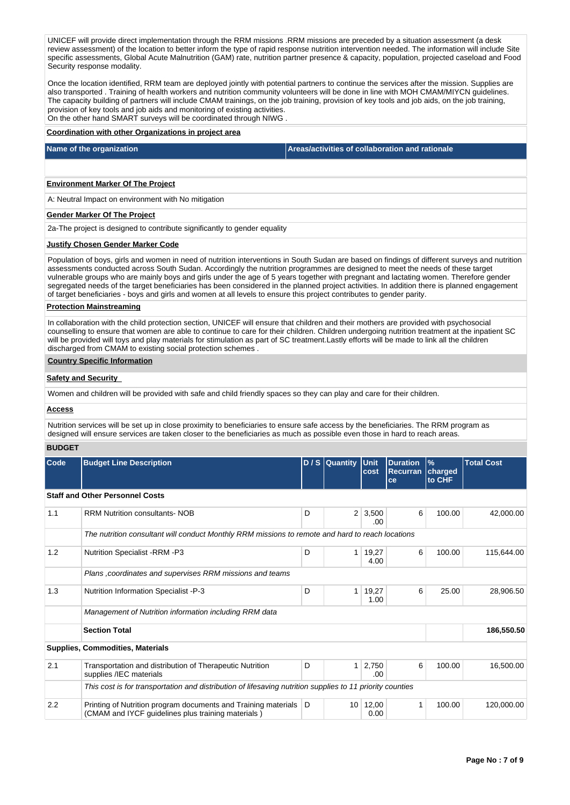UNICEF will provide direct implementation through the RRM missions .RRM missions are preceded by a situation assessment (a desk review assessment) of the location to better inform the type of rapid response nutrition intervention needed. The information will include Site specific assessments, Global Acute Malnutrition (GAM) rate, nutrition partner presence & capacity, population, projected caseload and Food Security response modality.

Once the location identified, RRM team are deployed jointly with potential partners to continue the services after the mission. Supplies are also transported . Training of health workers and nutrition community volunteers will be done in line with MOH CMAM/MIYCN guidelines. The capacity building of partners will include CMAM trainings, on the job training, provision of key tools and job aids, on the job training, provision of key tools and job aids and monitoring of existing activities. On the other hand SMART surveys will be coordinated through NIWG .

### **Coordination with other Organizations in project area**

**Name of the organization Areas/activities of collaboration and rationale** 

## **Environment Marker Of The Project**

A: Neutral Impact on environment with No mitigation

### **Gender Marker Of The Project**

2a-The project is designed to contribute significantly to gender equality

#### **Justify Chosen Gender Marker Code**

Population of boys, girls and women in need of nutrition interventions in South Sudan are based on findings of different surveys and nutrition assessments conducted across South Sudan. Accordingly the nutrition programmes are designed to meet the needs of these target vulnerable groups who are mainly boys and girls under the age of 5 years together with pregnant and lactating women. Therefore gender segregated needs of the target beneficiaries has been considered in the planned project activities. In addition there is planned engagement of target beneficiaries - boys and girls and women at all levels to ensure this project contributes to gender parity.

## **Protection Mainstreaming**

In collaboration with the child protection section, UNICEF will ensure that children and their mothers are provided with psychosocial counselling to ensure that women are able to continue to care for their children. Children undergoing nutrition treatment at the inpatient SC will be provided will toys and play materials for stimulation as part of SC treatment.Lastly efforts will be made to link all the children discharged from CMAM to existing social protection schemes .

## **Country Specific Information**

### **Safety and Security**

Women and children will be provided with safe and child friendly spaces so they can play and care for their children.

### **Access**

Nutrition services will be set up in close proximity to beneficiaries to ensure safe access by the beneficiaries. The RRM program as designed will ensure services are taken closer to the beneficiaries as much as possible even those in hard to reach areas.

### **BUDGET**

| Code | <b>Budget Line Description</b>                                                                                       |   | D / S Quantity Unit | cost                  | <b>Duration</b><br>Recurran<br>ce | $\frac{9}{6}$<br>charged<br>to CHF | <b>Total Cost</b> |
|------|----------------------------------------------------------------------------------------------------------------------|---|---------------------|-----------------------|-----------------------------------|------------------------------------|-------------------|
|      | <b>Staff and Other Personnel Costs</b>                                                                               |   |                     |                       |                                   |                                    |                   |
| 1.1  | <b>RRM Nutrition consultants-NOB</b>                                                                                 | D |                     | $2 \mid 3,500$<br>.00 | 6                                 | 100.00                             | 42,000.00         |
|      | The nutrition consultant will conduct Monthly RRM missions to remote and hard to reach locations                     |   |                     |                       |                                   |                                    |                   |
| 1.2  | <b>Nutrition Specialist -RRM -P3</b>                                                                                 | D | 1 <sup>1</sup>      | 19,27<br>4.00         | 6                                 | 100.00                             | 115,644.00        |
|      | Plans, coordinates and supervises RRM missions and teams                                                             |   |                     |                       |                                   |                                    |                   |
| 1.3  | <b>Nutrition Information Specialist -P-3</b>                                                                         | D | 1                   | 19,27<br>1.00         | 6                                 | 25.00                              | 28,906.50         |
|      | Management of Nutrition information including RRM data                                                               |   |                     |                       |                                   |                                    |                   |
|      | <b>Section Total</b>                                                                                                 |   |                     |                       |                                   |                                    | 186,550.50        |
|      | <b>Supplies, Commodities, Materials</b>                                                                              |   |                     |                       |                                   |                                    |                   |
| 2.1  | Transportation and distribution of Therapeutic Nutrition<br>supplies /IEC materials                                  | D |                     | 2,750<br>.00          | 6                                 | 100.00                             | 16,500.00         |
|      | This cost is for transportation and distribution of lifesaving nutrition supplies to 11 priority counties            |   |                     |                       |                                   |                                    |                   |
| 2.2  | Printing of Nutrition program documents and Training materials<br>(CMAM and IYCF guidelines plus training materials) | D | 10 <sup>1</sup>     | 12,00<br>0.00         |                                   | 100.00                             | 120,000.00        |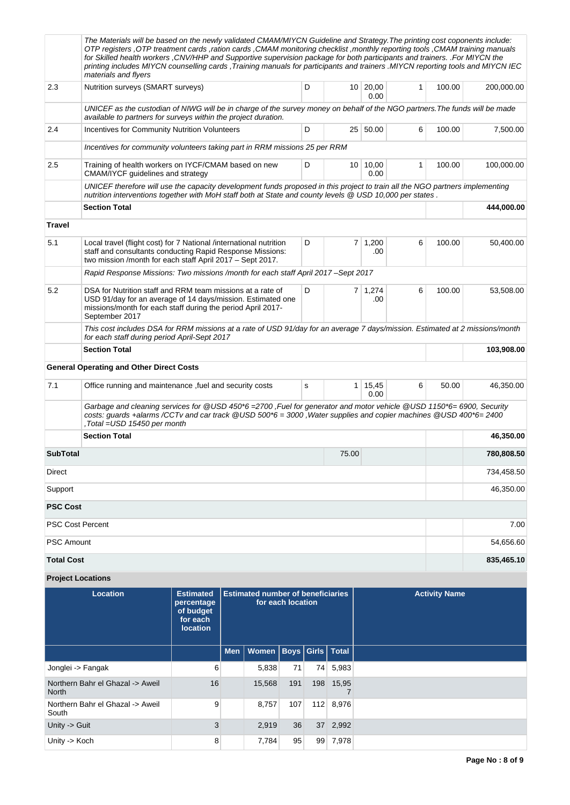|                   | The Materials will be based on the newly validated CMAM/MIYCN Guideline and Strategy. The printing cost coponents include:<br>OTP registers , OTP treatment cards , ration cards , CMAM monitoring checklist , monthly reporting tools , CMAM training manuals<br>for Skilled health workers, CNV/HHP and Supportive supervision package for both participants and trainers. .For MIYCN the<br>printing includes MIYCN counselling cards . Training manuals for participants and trainers . MIYCN reporting tools and MIYCN IEC<br>materials and flyers |   |       |                        |              |        |            |
|-------------------|---------------------------------------------------------------------------------------------------------------------------------------------------------------------------------------------------------------------------------------------------------------------------------------------------------------------------------------------------------------------------------------------------------------------------------------------------------------------------------------------------------------------------------------------------------|---|-------|------------------------|--------------|--------|------------|
| 2.3               | Nutrition surveys (SMART surveys)                                                                                                                                                                                                                                                                                                                                                                                                                                                                                                                       | D |       | 10 20,00<br>0.00       | 1            | 100.00 | 200,000.00 |
|                   | UNICEF as the custodian of NIWG will be in charge of the survey money on behalf of the NGO partners. The funds will be made<br>available to partners for surveys within the project duration.                                                                                                                                                                                                                                                                                                                                                           |   |       |                        |              |        |            |
| 2.4               | <b>Incentives for Community Nutrition Volunteers</b>                                                                                                                                                                                                                                                                                                                                                                                                                                                                                                    | D |       | 25 50.00               | 6            | 100.00 | 7,500.00   |
|                   | Incentives for community volunteers taking part in RRM missions 25 per RRM                                                                                                                                                                                                                                                                                                                                                                                                                                                                              |   |       |                        |              |        |            |
| 2.5               | Training of health workers on IYCF/CMAM based on new<br>CMAM/IYCF guidelines and strategy                                                                                                                                                                                                                                                                                                                                                                                                                                                               | D |       | 10 10,00<br>0.00       | $\mathbf{1}$ | 100.00 | 100,000.00 |
|                   | UNICEF therefore will use the capacity development funds proposed in this project to train all the NGO partners implementing<br>nutrition interventions together with MoH staff both at State and county levels @ USD 10,000 per states.                                                                                                                                                                                                                                                                                                                |   |       |                        |              |        |            |
|                   | <b>Section Total</b>                                                                                                                                                                                                                                                                                                                                                                                                                                                                                                                                    |   |       |                        |              |        | 444,000.00 |
| <b>Travel</b>     |                                                                                                                                                                                                                                                                                                                                                                                                                                                                                                                                                         |   |       |                        |              |        |            |
| 5.1               | Local travel (flight cost) for 7 National /international nutrition<br>staff and consultants conducting Rapid Response Missions:<br>two mission /month for each staff April 2017 - Sept 2017.                                                                                                                                                                                                                                                                                                                                                            | D |       | 7 1,200<br>.00         | 6            | 100.00 | 50,400.00  |
|                   | Rapid Response Missions: Two missions /month for each staff April 2017 - Sept 2017                                                                                                                                                                                                                                                                                                                                                                                                                                                                      |   |       |                        |              |        |            |
| 5.2               | DSA for Nutrition staff and RRM team missions at a rate of<br>USD 91/day for an average of 14 days/mission. Estimated one<br>missions/month for each staff during the period April 2017-<br>September 2017                                                                                                                                                                                                                                                                                                                                              | D |       | 7 1,274<br>.00         | 6            | 100.00 | 53,508.00  |
|                   | This cost includes DSA for RRM missions at a rate of USD 91/day for an average 7 days/mission. Estimated at 2 missions/month<br>for each staff during period April-Sept 2017                                                                                                                                                                                                                                                                                                                                                                            |   |       |                        |              |        |            |
|                   | <b>Section Total</b>                                                                                                                                                                                                                                                                                                                                                                                                                                                                                                                                    |   |       |                        |              |        | 103,908.00 |
|                   | <b>General Operating and Other Direct Costs</b>                                                                                                                                                                                                                                                                                                                                                                                                                                                                                                         |   |       |                        |              |        |            |
| 7.1               | Office running and maintenance, fuel and security costs                                                                                                                                                                                                                                                                                                                                                                                                                                                                                                 | s |       | $1 \mid 15,45$<br>0.00 | 6            | 50.00  | 46,350.00  |
|                   | Garbage and cleaning services for @USD 450*6 = 2700, Fuel for generator and motor vehicle @USD 1150*6= 6900, Security<br>costs: guards +alarms /CCTv and car track @USD 500*6 = 3000, Water supplies and copier machines @USD 400*6=2400<br>,Total =USD 15450 per month                                                                                                                                                                                                                                                                                 |   |       |                        |              |        |            |
|                   | <b>Section Total</b>                                                                                                                                                                                                                                                                                                                                                                                                                                                                                                                                    |   |       |                        |              |        | 46,350.00  |
| <b>SubTotal</b>   |                                                                                                                                                                                                                                                                                                                                                                                                                                                                                                                                                         |   | 75.00 |                        |              |        | 780,808.50 |
| <b>Direct</b>     |                                                                                                                                                                                                                                                                                                                                                                                                                                                                                                                                                         |   |       |                        |              |        | 734,458.50 |
| Support           |                                                                                                                                                                                                                                                                                                                                                                                                                                                                                                                                                         |   |       |                        |              |        | 46,350.00  |
| <b>PSC Cost</b>   |                                                                                                                                                                                                                                                                                                                                                                                                                                                                                                                                                         |   |       |                        |              |        |            |
| PSC Cost Percent  |                                                                                                                                                                                                                                                                                                                                                                                                                                                                                                                                                         |   |       |                        |              |        | 7.00       |
| <b>PSC Amount</b> |                                                                                                                                                                                                                                                                                                                                                                                                                                                                                                                                                         |   |       |                        |              |        | 54,656.60  |
| <b>Total Cost</b> |                                                                                                                                                                                                                                                                                                                                                                                                                                                                                                                                                         |   |       |                        |              |        | 835,465.10 |

# **Project Locations**

| Location                                         | <b>Estimated</b><br>percentage<br>of budget<br>for each<br><b>location</b> | <b>Estimated number of beneficiaries</b><br>for each location<br>Men   Women   Boys   Girls   Total |     |     |           | <b>Activity Name</b> |
|--------------------------------------------------|----------------------------------------------------------------------------|-----------------------------------------------------------------------------------------------------|-----|-----|-----------|----------------------|
|                                                  |                                                                            |                                                                                                     |     |     |           |                      |
| Jonglei -> Fangak                                | 6                                                                          | 5,838                                                                                               | 71  |     | 74 5,983  |                      |
| Northern Bahr el Ghazal -> Aweil<br><b>North</b> | 16                                                                         | 15,568                                                                                              | 191 | 198 | 15,95     |                      |
| Northern Bahr el Ghazal -> Aweil<br>South        | 9                                                                          | 8,757                                                                                               | 107 |     | 112 8,976 |                      |
| Unity -> Guit                                    | 3                                                                          | 2,919                                                                                               | 36  |     | 37 2,992  |                      |
| Unity -> Koch                                    | 8                                                                          | 7,784                                                                                               | 95  | 99  | 7,978     |                      |